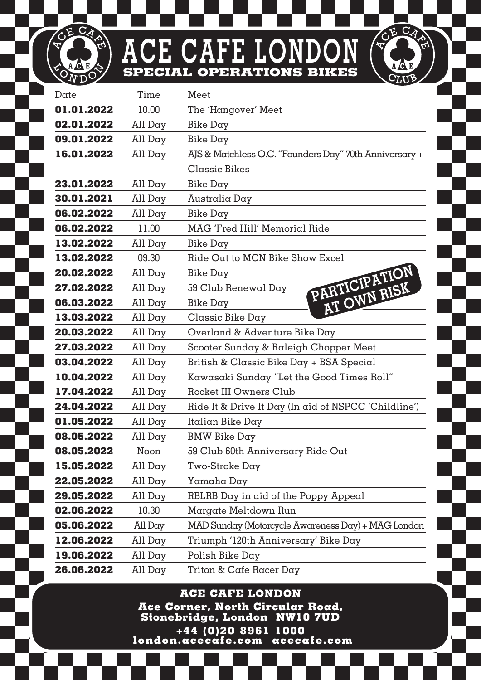## **ACE CAFE LONDON SPECIAL OPERATIONS BIKES**

CE CA

 $\widetilde{\mathcal{O}_N}$  $\overline{\mathsf{D}}$  **CE CA** 

| Date       | Time    | Meet                                                   |
|------------|---------|--------------------------------------------------------|
| 01.01.2022 | 10.00   | The 'Hangover' Meet                                    |
| 02.01.2022 | All Day | Bike Day                                               |
| 09.01.2022 | All Day | Bike Day                                               |
| 16.01.2022 | All Day | AJS & Matchless O.C. "Founders Day" 70th Anniversary + |
|            |         | Classic Bikes                                          |
| 23.01.2022 | All Day | Bike Day                                               |
| 30.01.2021 | All Day | Australia Day                                          |
| 06.02.2022 | All Day | Bike Day                                               |
| 06.02.2022 | 11.00   | MAG 'Fred Hill' Memorial Ride                          |
| 13.02.2022 | All Day | Bike Day                                               |
| 13.02.2022 | 09.30   | Ride Out to MCN Bike Show Excel                        |
| 20.02.2022 | All Day | Bike Day                                               |
| 27.02.2022 | All Day | PARTICIPATION<br>59 Club Renewal Day                   |
| 06.03.2022 | All Day | AT OWN RISK<br>Bike Day                                |
| 13.03.2022 | All Day | Classic Bike Day                                       |
| 20.03.2022 | All Day | Overland & Adventure Bike Day                          |
| 27.03.2022 | All Day | Scooter Sunday & Raleigh Chopper Meet                  |
| 03.04.2022 | All Day | British & Classic Bike Day + BSA Special               |
| 10.04.2022 | All Day | Kawasaki Sunday "Let the Good Times Roll"              |
| 17.04.2022 | All Day | Rocket III Owners Club                                 |
| 24.04.2022 | All Day | Ride It & Drive It Day (In aid of NSPCC 'Childline')   |
| 01.05.2022 | All Day | Italian Bike Day                                       |
| 08.05.2022 | All Day | <b>BMW Bike Day</b>                                    |
| 08.05.2022 | Noon    | 59 Club 60th Anniversary Ride Out                      |
| 15.05.2022 | All Day | Two-Stroke Day                                         |
| 22.05.2022 | All Day | Yamaha Day                                             |
| 29.05.2022 | All Day | RBLRB Day in aid of the Poppy Appeal                   |
| 02.06.2022 | 10.30   | Margate Meltdown Run                                   |
| 05.06.2022 | All Day | MAD Sunday (Motorcycle Awareness Day) + MAG London     |
| 12.06.2022 | All Day | Triumph '120th Anniversary' Bike Day                   |
| 19.06.2022 | All Day | Polish Bike Day                                        |
| 26.06.2022 | All Day | Triton & Cafe Racer Day                                |

**ACE CAFE LONDON Ace Corner, North Circular Road, Stonebridge, London NW10 7UD +44 (0)20 8961 1000**

 **london.acecafe.com acecafe.com**